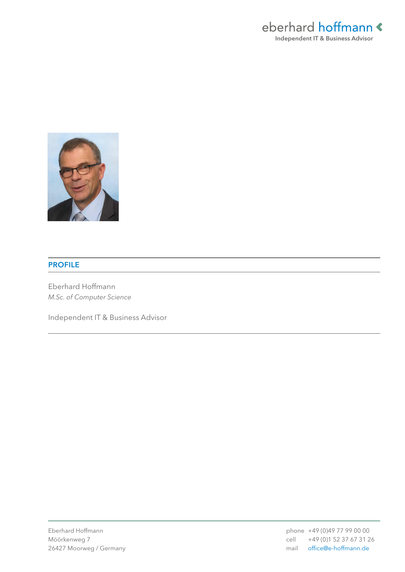



### PROFILE

Eberhard Hoffmann *M.Sc. of Computer Science*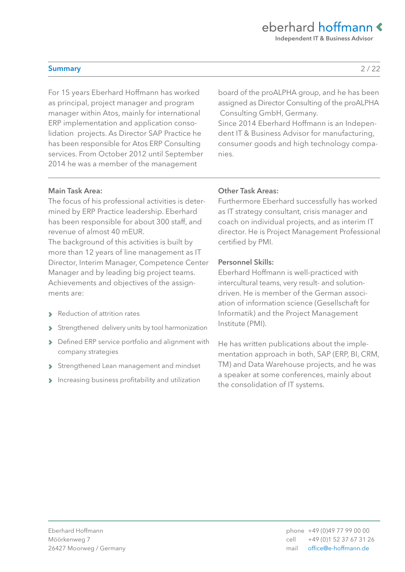Independent IT & Business Advisor

### Summary

For 15 years Eberhard Hoffmann has worked as principal, project manager and program manager within Atos, mainly for international ERP implementation and application consolidation projects. As Director SAP Practice he has been responsible for Atos ERP Consulting services. From October 2012 until September 2014 he was a member of the management

board of the proALPHA group, and he has been assigned as Director Consulting of the proALPHA Consulting GmbH, Germany.

Since 2014 Eberhard Hoffmann is an Independent IT & Business Advisor for manufacturing, consumer goods and high technology companies.

### Main Task Area:

The focus of his professional activities is determined by ERP Practice leadership. Eberhard has been responsible for about 300 staff, and revenue of almost 40 mEUR.

The background of this activities is built by more than 12 years of line management as IT Director, Interim Manager, Competence Center Manager and by leading big project teams. Achievements and objectives of the assignments are:

- › Reduction of attrition rates
- › Strengthened delivery units by tool harmonization
- › Defined ERP service portfolio and alignment with company strategies
- Strengthened Lean management and mindset
- › Increasing business profitability and utilization

### Other Task Areas:

Furthermore Eberhard successfully has worked as IT strategy consultant, crisis manager and coach on individual projects, and as interim IT director. He is Project Management Professional certified by PMI.

### Personnel Skills:

Eberhard Hoffmann is well-practiced with intercultural teams, very result- and solutiondriven. He is member of the German association of information science (Gesellschaft for Informatik) and the Project Management Institute (PMI).

He has written publications about the implementation approach in both, SAP (ERP, BI, CRM, TM) and Data Warehouse projects, and he was a speaker at some conferences, mainly about the consolidation of IT systems.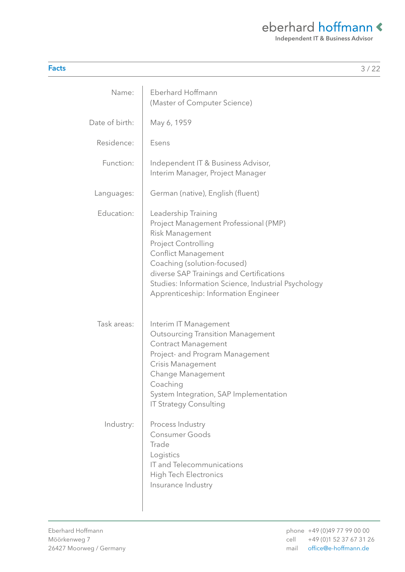Independent IT & Business Advisor

| ×<br>×<br>v |  |
|-------------|--|
|             |  |

| Name:          | <b>Eberhard Hoffmann</b><br>(Master of Computer Science)                                                                                                                                                                                                                                                              |
|----------------|-----------------------------------------------------------------------------------------------------------------------------------------------------------------------------------------------------------------------------------------------------------------------------------------------------------------------|
| Date of birth: | May 6, 1959                                                                                                                                                                                                                                                                                                           |
| Residence:     | Esens                                                                                                                                                                                                                                                                                                                 |
| Function:      | Independent IT & Business Advisor,<br>Interim Manager, Project Manager                                                                                                                                                                                                                                                |
| Languages:     | German (native), English (fluent)                                                                                                                                                                                                                                                                                     |
| Education:     | Leadership Training<br>Project Management Professional (PMP)<br><b>Risk Management</b><br>Project Controlling<br><b>Conflict Management</b><br>Coaching (solution-focused)<br>diverse SAP Trainings and Certifications<br>Studies: Information Science, Industrial Psychology<br>Apprenticeship: Information Engineer |
| Task areas:    | Interim IT Management<br><b>Outsourcing Transition Management</b><br><b>Contract Management</b><br>Project- and Program Management<br>Crisis Management<br>Change Management<br>Coaching<br>System Integration, SAP Implementation<br><b>IT Strategy Consulting</b>                                                   |
| Industry:      | Process Industry<br><b>Consumer Goods</b><br>Trade<br>Logistics<br>IT and Telecommunications<br><b>High Tech Electronics</b><br>Insurance Industry                                                                                                                                                                    |

 $\overline{\phantom{a}}$ 

Facts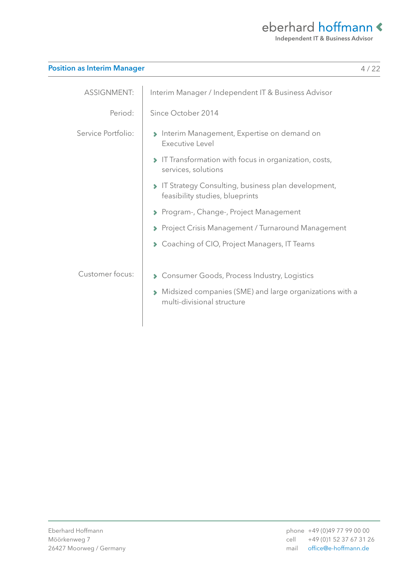Independent IT & Business Advisor

| <b>Position as Interim Manager</b> |  |  |
|------------------------------------|--|--|
|                                    |  |  |

| <b>ASSIGNMENT:</b> | Interim Manager / Independent IT & Business Advisor                                   |
|--------------------|---------------------------------------------------------------------------------------|
| Period:            | Since October 2014                                                                    |
| Service Portfolio: | Interim Management, Expertise on demand on<br>Executive Level                         |
|                    | > IT Transformation with focus in organization, costs,<br>services, solutions         |
|                    | IT Strategy Consulting, business plan development,<br>feasibility studies, blueprints |
|                    | ▶ Program-, Change-, Project Management                                               |
|                    | ▶ Project Crisis Management / Turnaround Management                                   |
|                    | ◆ Coaching of CIO, Project Managers, IT Teams                                         |
| Customer focus:    | Consumer Goods, Process Industry, Logistics                                           |
|                    | Midsized companies (SME) and large organizations with a<br>multi-divisional structure |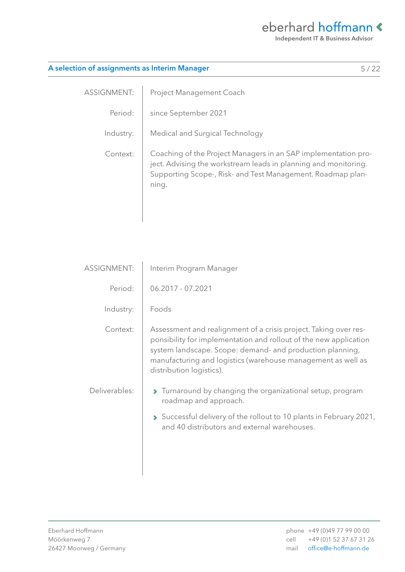Independent IT & Business Advisor

5 / 22

|  | A selection of assignments as Interim Manager |
|--|-----------------------------------------------|
|  |                                               |

ASSIGNMENT: Period: Industry: Context: Project Management Coach since September 2021 Medical and Surgical Technology Coaching of the Project Managers in an SAP implementation project. Advising the workstream leads in planning and monitoring. Supporting Scope-, Risk- and Test Management. Roadmap planning.

| <b>ASSIGNMENT:</b> | Interim Program Manager                                                                                                                                                                                                                                                                        |
|--------------------|------------------------------------------------------------------------------------------------------------------------------------------------------------------------------------------------------------------------------------------------------------------------------------------------|
| Period:            | 06.2017 - 07.2021                                                                                                                                                                                                                                                                              |
| Industry:          | Foods                                                                                                                                                                                                                                                                                          |
| Context:           | Assessment and realignment of a crisis project. Taking over res-<br>ponsibility for implementation and rollout of the new application<br>system landscape. Scope: demand- and production planning,<br>manufacturing and logistics (warehouse management as well as<br>distribution logistics). |
| Deliverables:      | $\blacktriangleright$ Turnaround by changing the organizational setup, program<br>roadmap and approach.<br>Successful delivery of the rollout to 10 plants in February 2021,<br>and 40 distributors and external warehouses.                                                                   |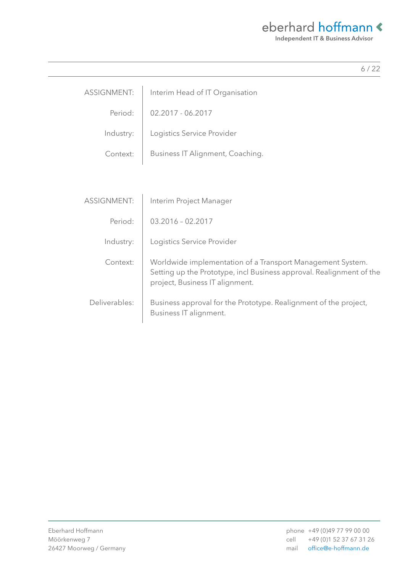Independent IT & Business Advisor

| <b>ASSIGNMENT:</b> | Interim Head of IT Organisation                                                                                                                                       |
|--------------------|-----------------------------------------------------------------------------------------------------------------------------------------------------------------------|
| Period:            | 02.2017 - 06.2017                                                                                                                                                     |
| Industry:          | Logistics Service Provider                                                                                                                                            |
| Context:           | Business IT Alignment, Coaching.                                                                                                                                      |
|                    |                                                                                                                                                                       |
|                    |                                                                                                                                                                       |
| <b>ASSIGNMENT:</b> | Interim Project Manager                                                                                                                                               |
| Period:            | $03.2016 - 02.2017$                                                                                                                                                   |
| Industry:          | Logistics Service Provider                                                                                                                                            |
| Context:           | Worldwide implementation of a Transport Management System.<br>Setting up the Prototype, incl Business approval. Realignment of the<br>project, Business IT alignment. |
| Deliverables:      | Business approval for the Prototype. Realignment of the project,<br>Business IT alignment.                                                                            |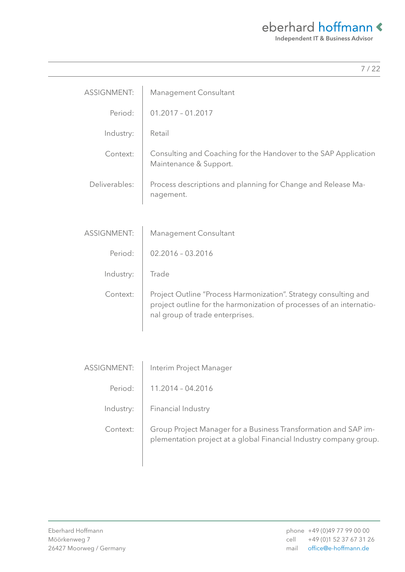Independent IT & Business Advisor

|                    | 7/22                                                                                                                                                                        |
|--------------------|-----------------------------------------------------------------------------------------------------------------------------------------------------------------------------|
| <b>ASSIGNMENT:</b> | Management Consultant                                                                                                                                                       |
| Period:            | $01.2017 - 01.2017$                                                                                                                                                         |
| Industry:          | Retail                                                                                                                                                                      |
| Context:           | Consulting and Coaching for the Handover to the SAP Application<br>Maintenance & Support.                                                                                   |
| Deliverables:      | Process descriptions and planning for Change and Release Ma-<br>nagement.                                                                                                   |
|                    |                                                                                                                                                                             |
| <b>ASSIGNMENT:</b> | Management Consultant                                                                                                                                                       |
| Period:            | $02.2016 - 03.2016$                                                                                                                                                         |
| Industry:          | Trade                                                                                                                                                                       |
| Context:           | Project Outline "Process Harmonization". Strategy consulting and<br>project outline for the harmonization of processes of an internatio-<br>nal group of trade enterprises. |
|                    |                                                                                                                                                                             |
| ASSIGNMENT:        | Interim Project Manager                                                                                                                                                     |
| Period:            | 11.2014 - 04.2016                                                                                                                                                           |
| Industry:          | Financial Industry                                                                                                                                                          |
| Context:           | Group Project Manager for a Business Transformation and SAP im-<br>plementation project at a global Financial Industry company group.                                       |
|                    |                                                                                                                                                                             |

L,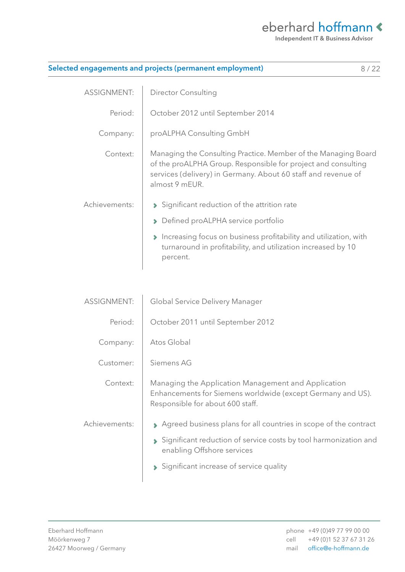| Selected engagements and projects (permanent employment)<br>8/22 |                                                                                                                                                                                                                    |  |
|------------------------------------------------------------------|--------------------------------------------------------------------------------------------------------------------------------------------------------------------------------------------------------------------|--|
| <b>ASSIGNMENT:</b>                                               | <b>Director Consulting</b>                                                                                                                                                                                         |  |
| Period:                                                          | October 2012 until September 2014                                                                                                                                                                                  |  |
| Company:                                                         | proALPHA Consulting GmbH                                                                                                                                                                                           |  |
| Context:                                                         | Managing the Consulting Practice. Member of the Managing Board<br>of the proALPHA Group. Responsible for project and consulting<br>services (delivery) in Germany. About 60 staff and revenue of<br>almost 9 mEUR. |  |
| Achievements:                                                    | Significant reduction of the attrition rate                                                                                                                                                                        |  |
|                                                                  | Defined proALPHA service portfolio<br>$\blacktriangleright$                                                                                                                                                        |  |
|                                                                  | Increasing focus on business profitability and utilization, with<br>$\blacktriangleright$<br>turnaround in profitability, and utilization increased by 10<br>percent.                                              |  |
| <b>ASSIGNMENT:</b>                                               |                                                                                                                                                                                                                    |  |
|                                                                  | Global Service Delivery Manager                                                                                                                                                                                    |  |
| Period:                                                          | October 2011 until September 2012                                                                                                                                                                                  |  |
| Company:                                                         | Atos Global                                                                                                                                                                                                        |  |
| Customer:                                                        | Siemens AG                                                                                                                                                                                                         |  |
| Context:                                                         | Managing the Application Management and Application<br>Enhancements for Siemens worldwide (except Germany and US).<br>Responsible for about 600 staff.                                                             |  |
| Achievements:                                                    | Agreed business plans for all countries in scope of the contract                                                                                                                                                   |  |
|                                                                  | Significant reduction of service costs by tool harmonization and<br>enabling Offshore services                                                                                                                     |  |
|                                                                  | Significant increase of service quality                                                                                                                                                                            |  |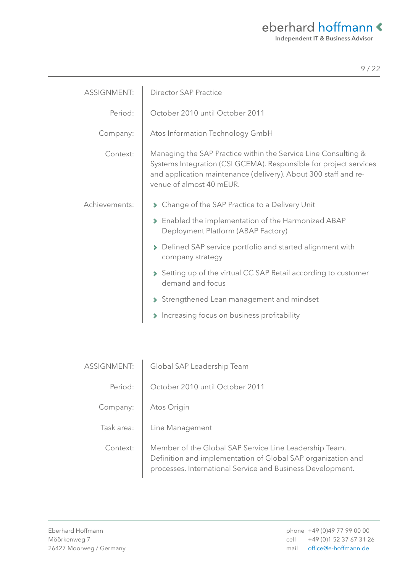| <b>ASSIGNMENT:</b> | <b>Director SAP Practice</b>                                                                                                                                                                                                       |
|--------------------|------------------------------------------------------------------------------------------------------------------------------------------------------------------------------------------------------------------------------------|
| Period:            | October 2010 until October 2011                                                                                                                                                                                                    |
| Company:           | Atos Information Technology GmbH                                                                                                                                                                                                   |
| Context:           | Managing the SAP Practice within the Service Line Consulting &<br>Systems Integration (CSI GCEMA). Responsible for project services<br>and application maintenance (delivery). About 300 staff and re-<br>venue of almost 40 mEUR. |
| Achievements:      | ▶ Change of the SAP Practice to a Delivery Unit                                                                                                                                                                                    |
|                    | > Enabled the implementation of the Harmonized ABAP<br>Deployment Platform (ABAP Factory)                                                                                                                                          |
|                    | Defined SAP service portfolio and started alignment with<br>company strategy                                                                                                                                                       |
|                    | Setting up of the virtual CC SAP Retail according to customer<br>demand and focus                                                                                                                                                  |
|                    | Strengthened Lean management and mindset                                                                                                                                                                                           |
|                    | Increasing focus on business profitability                                                                                                                                                                                         |

| <b>ASSIGNMENT:</b> | Global SAP Leadership Team                                                                                                                                                           |
|--------------------|--------------------------------------------------------------------------------------------------------------------------------------------------------------------------------------|
| Period:            | October 2010 until October 2011                                                                                                                                                      |
| Company:           | Atos Origin                                                                                                                                                                          |
| Task area:         | Line Management                                                                                                                                                                      |
| Context:           | Member of the Global SAP Service Line Leadership Team.<br>Definition and implementation of Global SAP organization and<br>processes. International Service and Business Development. |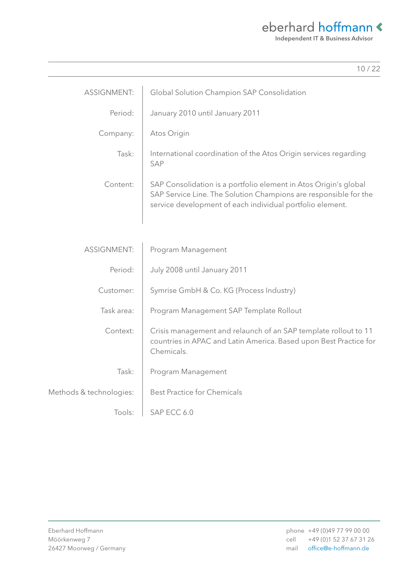| ł |  |
|---|--|
|   |  |

| <b>ASSIGNMENT:</b>      | Global Solution Champion SAP Consolidation                                                                                                                                                        |
|-------------------------|---------------------------------------------------------------------------------------------------------------------------------------------------------------------------------------------------|
| Period:                 | January 2010 until January 2011                                                                                                                                                                   |
| Company:                | Atos Origin                                                                                                                                                                                       |
| Task:                   | International coordination of the Atos Origin services regarding<br><b>SAP</b>                                                                                                                    |
| Content:                | SAP Consolidation is a portfolio element in Atos Origin's global<br>SAP Service Line. The Solution Champions are responsible for the<br>service development of each individual portfolio element. |
|                         |                                                                                                                                                                                                   |
| <b>ASSIGNMENT:</b>      | Program Management                                                                                                                                                                                |
| Period:                 | July 2008 until January 2011                                                                                                                                                                      |
| Customer:               | Symrise GmbH & Co. KG (Process Industry)                                                                                                                                                          |
| Task area:              | Program Management SAP Template Rollout                                                                                                                                                           |
| Context:                | Crisis management and relaunch of an SAP template rollout to 11<br>countries in APAC and Latin America. Based upon Best Practice for<br>Chemicals.                                                |
| Task:                   | Program Management                                                                                                                                                                                |
| Methods & technologies: | <b>Best Practice for Chemicals</b>                                                                                                                                                                |
| Tools:                  | SAP ECC 6.0                                                                                                                                                                                       |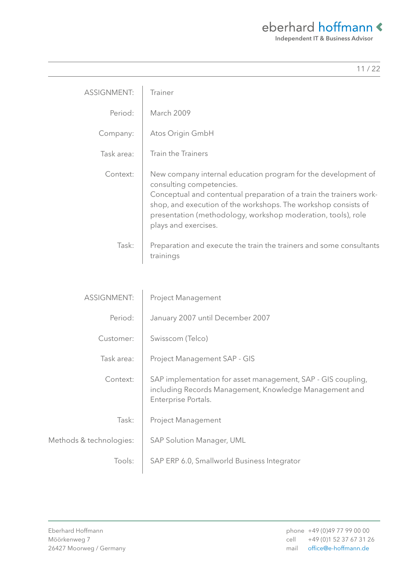Independent IT & Business Advisor

| 122                                                                                                                                                                                                                                                                                                                                    |  |
|----------------------------------------------------------------------------------------------------------------------------------------------------------------------------------------------------------------------------------------------------------------------------------------------------------------------------------------|--|
| <b>ASSIGNMENT:</b><br>Trainer                                                                                                                                                                                                                                                                                                          |  |
| Period:<br><b>March 2009</b>                                                                                                                                                                                                                                                                                                           |  |
| Company:<br>Atos Origin GmbH                                                                                                                                                                                                                                                                                                           |  |
| <b>Train the Trainers</b><br>Task area:                                                                                                                                                                                                                                                                                                |  |
| New company internal education program for the development of<br>Context:<br>consulting competencies.<br>Conceptual and contentual preparation of a train the trainers work-<br>shop, and execution of the workshops. The workshop consists of<br>presentation (methodology, workshop moderation, tools), role<br>plays and exercises. |  |
| Task:<br>Preparation and execute the train the trainers and some consultants<br>trainings                                                                                                                                                                                                                                              |  |
|                                                                                                                                                                                                                                                                                                                                        |  |

| <b>ASSIGNMENT:</b>      | <b>Project Management</b>                                                                                                                     |
|-------------------------|-----------------------------------------------------------------------------------------------------------------------------------------------|
| Period:                 | January 2007 until December 2007                                                                                                              |
| Customer:               | Swisscom (Telco)                                                                                                                              |
| Task area:              | Project Management SAP - GIS                                                                                                                  |
| Context:                | SAP implementation for asset management, SAP - GIS coupling,<br>including Records Management, Knowledge Management and<br>Enterprise Portals. |
| Task:                   | <b>Project Management</b>                                                                                                                     |
| Methods & technologies: | SAP Solution Manager, UML                                                                                                                     |
| Tools:                  | SAP ERP 6.0, Smallworld Business Integrator                                                                                                   |

L,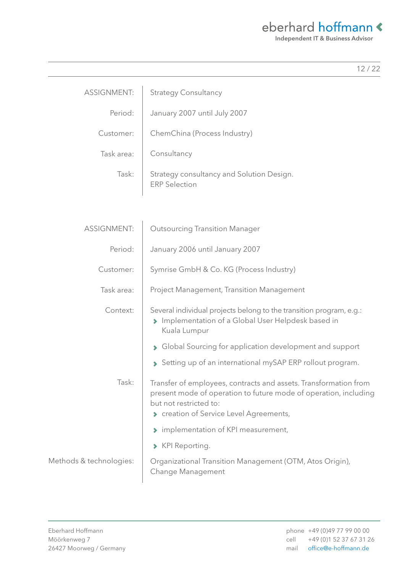|--|--|--|--|--|

| <b>ASSIGNMENT:</b> | <b>Strategy Consultancy</b>                                       |
|--------------------|-------------------------------------------------------------------|
| Period:            | January 2007 until July 2007                                      |
| Customer:          | ChemChina (Process Industry)                                      |
| Task area:         | Consultancy                                                       |
| Task:              | Strategy consultancy and Solution Design.<br><b>ERP Selection</b> |

| <b>ASSIGNMENT:</b>      | <b>Outsourcing Transition Manager</b>                                                                                                                                                                   |  |
|-------------------------|---------------------------------------------------------------------------------------------------------------------------------------------------------------------------------------------------------|--|
| Period:                 | January 2006 until January 2007                                                                                                                                                                         |  |
| Customer:               | Symrise GmbH & Co. KG (Process Industry)                                                                                                                                                                |  |
| Task area:              | <b>Project Management, Transition Management</b>                                                                                                                                                        |  |
| Context:                | Several individual projects belong to the transition program, e.g.:<br>Implementation of a Global User Helpdesk based in<br>$\blacktriangleright$<br>Kuala Lumpur                                       |  |
|                         | Global Sourcing for application development and support<br>$\blacktriangleright$                                                                                                                        |  |
|                         | Setting up of an international mySAP ERP rollout program.                                                                                                                                               |  |
| Task:                   | Transfer of employees, contracts and assets. Transformation from<br>present mode of operation to future mode of operation, including<br>but not restricted to:<br>Creation of Service Level Agreements, |  |
|                         | > implementation of KPI measurement,                                                                                                                                                                    |  |
|                         | > KPI Reporting.                                                                                                                                                                                        |  |
| Methods & technologies: | Organizational Transition Management (OTM, Atos Origin),<br>Change Management                                                                                                                           |  |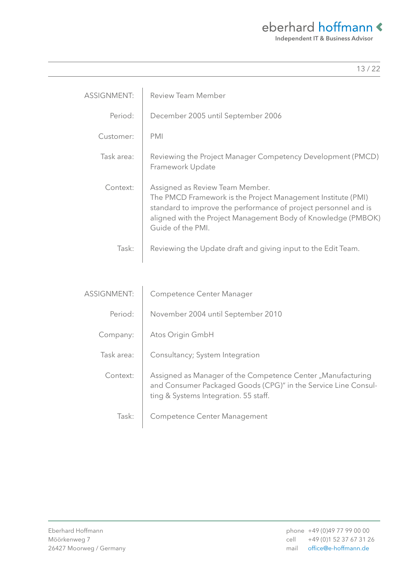Independent IT & Business Advisor

13 / 22

| <b>ASSIGNMENT:</b> | <b>Review Team Member</b>                                                                                                                                                                                                                                |
|--------------------|----------------------------------------------------------------------------------------------------------------------------------------------------------------------------------------------------------------------------------------------------------|
| Period:            | December 2005 until September 2006                                                                                                                                                                                                                       |
| Customer:          | <b>PMI</b>                                                                                                                                                                                                                                               |
| Task area:         | Reviewing the Project Manager Competency Development (PMCD)<br>Framework Update                                                                                                                                                                          |
| Context:           | Assigned as Review Team Member.<br>The PMCD Framework is the Project Management Institute (PMI)<br>standard to improve the performance of project personnel and is<br>aligned with the Project Management Body of Knowledge (PMBOK)<br>Guide of the PMI. |
| Task:              | Reviewing the Update draft and giving input to the Edit Team.                                                                                                                                                                                            |
|                    |                                                                                                                                                                                                                                                          |
| <b>ASSIGNMENT:</b> | Competence Center Manager                                                                                                                                                                                                                                |
| Period:            | November 2004 until September 2010                                                                                                                                                                                                                       |
| Company:           | Atos Origin GmbH                                                                                                                                                                                                                                         |
| Task area:         | Consultancy; System Integration                                                                                                                                                                                                                          |
| Context:           | Assigned as Manager of the Competence Center "Manufacturing<br>and Consumer Packaged Goods (CPG)" in the Service Line Consul-<br>ting & Systems Integration. 55 staff.                                                                                   |

Task: Competence Center Management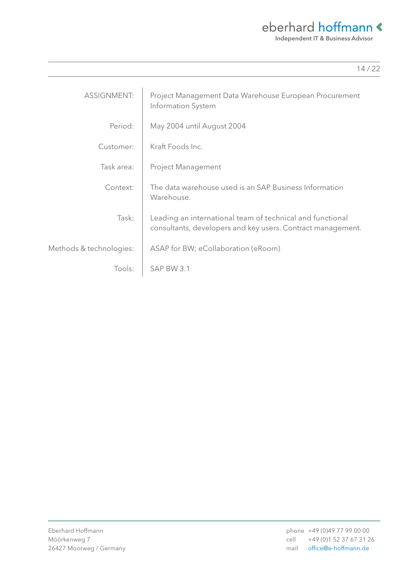| <b>ASSIGNMENT:</b>      | Project Management Data Warehouse European Procurement<br>Information System                                             |
|-------------------------|--------------------------------------------------------------------------------------------------------------------------|
| Period:                 | May 2004 until August 2004                                                                                               |
| Customer:               | Kraft Foods Inc.                                                                                                         |
| Task area:              | <b>Project Management</b>                                                                                                |
| Context:                | The data warehouse used is an SAP Business Information<br>Warehouse.                                                     |
| Task:                   | Leading an international team of technical and functional<br>consultants, developers and key users. Contract management. |
| Methods & technologies: | ASAP for BW; eCollaboration (eRoom)                                                                                      |
| Tools:                  | SAP BW 3.1                                                                                                               |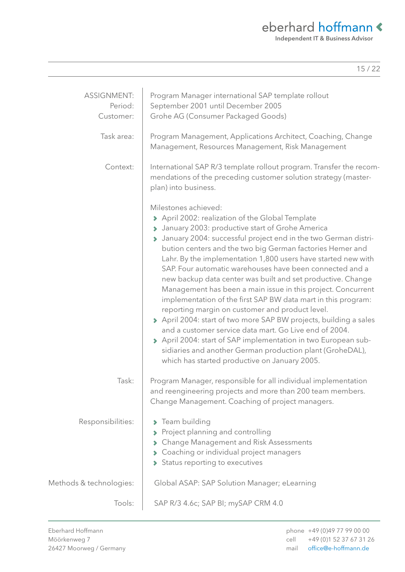Independent IT & Business Advisor

| <b>ASSIGNMENT:</b><br>Period:<br>Customer: | Program Manager international SAP template rollout<br>September 2001 until December 2005<br>Grohe AG (Consumer Packaged Goods)                                                                                                                                                                                                                                                                                                                                                                                                                                                                                                                                                                                                                                                                                                                                                                                                                                |
|--------------------------------------------|---------------------------------------------------------------------------------------------------------------------------------------------------------------------------------------------------------------------------------------------------------------------------------------------------------------------------------------------------------------------------------------------------------------------------------------------------------------------------------------------------------------------------------------------------------------------------------------------------------------------------------------------------------------------------------------------------------------------------------------------------------------------------------------------------------------------------------------------------------------------------------------------------------------------------------------------------------------|
| Task area:                                 | Program Management, Applications Architect, Coaching, Change<br>Management, Resources Management, Risk Management                                                                                                                                                                                                                                                                                                                                                                                                                                                                                                                                                                                                                                                                                                                                                                                                                                             |
| Context:                                   | International SAP R/3 template rollout program. Transfer the recom-<br>mendations of the preceding customer solution strategy (master-<br>plan) into business.                                                                                                                                                                                                                                                                                                                                                                                                                                                                                                                                                                                                                                                                                                                                                                                                |
|                                            | Milestones achieved:<br>> April 2002: realization of the Global Template<br>> January 2003: productive start of Grohe America<br>> January 2004: successful project end in the two German distri-<br>bution centers and the two big German factories Hemer and<br>Lahr. By the implementation 1,800 users have started new with<br>SAP. Four automatic warehouses have been connected and a<br>new backup data center was built and set productive. Change<br>Management has been a main issue in this project. Concurrent<br>implementation of the first SAP BW data mart in this program:<br>reporting margin on customer and product level.<br>> April 2004: start of two more SAP BW projects, building a sales<br>and a customer service data mart. Go Live end of 2004.<br>> April 2004: start of SAP implementation in two European sub-<br>sidiaries and another German production plant (GroheDAL),<br>which has started productive on January 2005. |
| Task:                                      | Program Manager, responsible for all individual implementation<br>and reengineering projects and more than 200 team members.<br>Change Management. Coaching of project managers.                                                                                                                                                                                                                                                                                                                                                                                                                                                                                                                                                                                                                                                                                                                                                                              |
| Responsibilities:                          | > Team building<br>Project planning and controlling<br>Change Management and Risk Assessments<br>Coaching or individual project managers<br>Status reporting to executives                                                                                                                                                                                                                                                                                                                                                                                                                                                                                                                                                                                                                                                                                                                                                                                    |
| Methods & technologies:                    | Global ASAP: SAP Solution Manager; eLearning                                                                                                                                                                                                                                                                                                                                                                                                                                                                                                                                                                                                                                                                                                                                                                                                                                                                                                                  |
| Tools:                                     | SAP R/3 4.6c; SAP BI; mySAP CRM 4.0                                                                                                                                                                                                                                                                                                                                                                                                                                                                                                                                                                                                                                                                                                                                                                                                                                                                                                                           |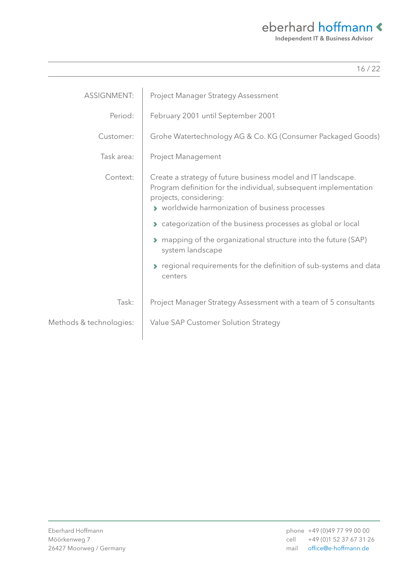Independent IT & Business Advisor

| <b>ASSIGNMENT:</b>      | Project Manager Strategy Assessment                                                                                                                                                                           |
|-------------------------|---------------------------------------------------------------------------------------------------------------------------------------------------------------------------------------------------------------|
| Period:                 | February 2001 until September 2001                                                                                                                                                                            |
| Customer:               | Grohe Watertechnology AG & Co. KG (Consumer Packaged Goods)                                                                                                                                                   |
| Task area:              | <b>Project Management</b>                                                                                                                                                                                     |
| Context:                | Create a strategy of future business model and IT landscape.<br>Program definition for the individual, subsequent implementation<br>projects, considering:<br>> worldwide harmonization of business processes |
|                         | Categorization of the business processes as global or local                                                                                                                                                   |
|                         | ◆ mapping of the organizational structure into the future (SAP)<br>system landscape                                                                                                                           |
|                         | regional requirements for the definition of sub-systems and data<br>centers                                                                                                                                   |
| Task:                   | Project Manager Strategy Assessment with a team of 5 consultants                                                                                                                                              |
| Methods & technologies: | Value SAP Customer Solution Strategy                                                                                                                                                                          |
|                         |                                                                                                                                                                                                               |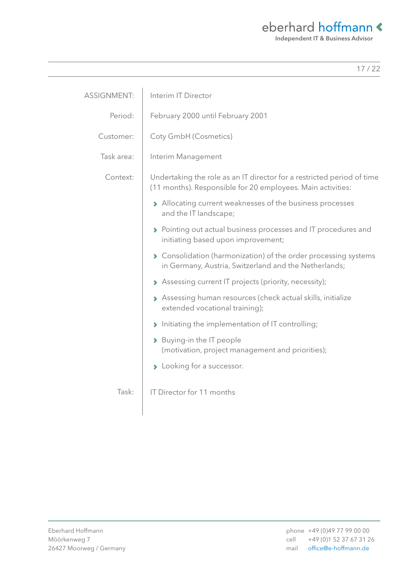Independent IT & Business Advisor

| <b>ASSIGNMENT:</b> | Interim IT Director                                                                                                                   |  |
|--------------------|---------------------------------------------------------------------------------------------------------------------------------------|--|
| Period:            | February 2000 until February 2001                                                                                                     |  |
| Customer:          | Coty GmbH (Cosmetics)                                                                                                                 |  |
| Task area:         | Interim Management                                                                                                                    |  |
| Context:           | Undertaking the role as an IT director for a restricted period of time<br>(11 months). Responsible for 20 employees. Main activities: |  |
|                    | > Allocating current weaknesses of the business processes<br>and the IT landscape;                                                    |  |
|                    | > Pointing out actual business processes and IT procedures and<br>initiating based upon improvement;                                  |  |
|                    | ◆ Consolidation (harmonization) of the order processing systems<br>in Germany, Austria, Switzerland and the Netherlands;              |  |
|                    | > Assessing current IT projects (priority, necessity);                                                                                |  |
|                    | > Assessing human resources (check actual skills, initialize<br>extended vocational training);                                        |  |
|                    | Initiating the implementation of IT controlling;                                                                                      |  |
|                    | > Buying-in the IT people<br>(motivation, project management and priorities);                                                         |  |
|                    | > Looking for a successor.                                                                                                            |  |
| Task:              | IT Director for 11 months                                                                                                             |  |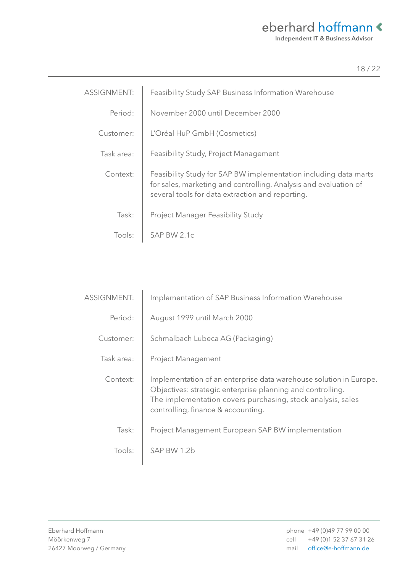Independent IT & Business Advisor

| <b>ASSIGNMENT:</b> | Feasibility Study SAP Business Information Warehouse                                                                                                                                     |
|--------------------|------------------------------------------------------------------------------------------------------------------------------------------------------------------------------------------|
| Period:            | November 2000 until December 2000                                                                                                                                                        |
| Customer:          | L'Oréal HuP GmbH (Cosmetics)                                                                                                                                                             |
| Task area:         | Feasibility Study, Project Management                                                                                                                                                    |
| Context:           | Feasibility Study for SAP BW implementation including data marts<br>for sales, marketing and controlling. Analysis and evaluation of<br>several tools for data extraction and reporting. |
| Task:              | Project Manager Feasibility Study                                                                                                                                                        |
| Tools:             | SAP BW 2.1c                                                                                                                                                                              |

| <b>ASSIGNMENT:</b> | Implementation of SAP Business Information Warehouse                                                                                                                                                                                  |
|--------------------|---------------------------------------------------------------------------------------------------------------------------------------------------------------------------------------------------------------------------------------|
| Period:            | August 1999 until March 2000                                                                                                                                                                                                          |
| Customer:          | Schmalbach Lubeca AG (Packaging)                                                                                                                                                                                                      |
| Task area:         | Project Management                                                                                                                                                                                                                    |
| Context:           | Implementation of an enterprise data warehouse solution in Europe.<br>Objectives: strategic enterprise planning and controlling.<br>The implementation covers purchasing, stock analysis, sales<br>controlling, finance & accounting. |
| Task:              | Project Management European SAP BW implementation                                                                                                                                                                                     |
| Tools:             | SAP BW 1.2b                                                                                                                                                                                                                           |
|                    |                                                                                                                                                                                                                                       |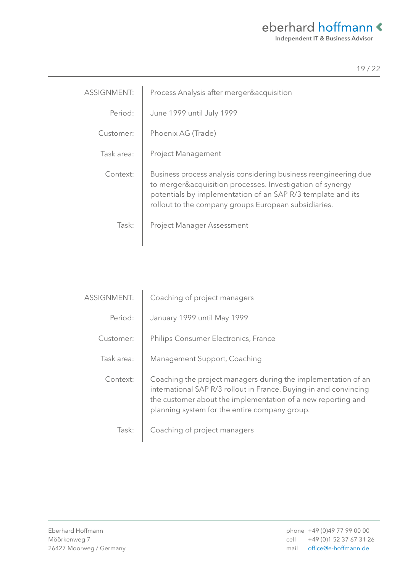| <b>ASSIGNMENT:</b> | Process Analysis after merger&acquisition                                                                                                                                                                                                            |
|--------------------|------------------------------------------------------------------------------------------------------------------------------------------------------------------------------------------------------------------------------------------------------|
| Period:            | June 1999 until July 1999                                                                                                                                                                                                                            |
| Customer:          | Phoenix AG (Trade)                                                                                                                                                                                                                                   |
| Task area:         | <b>Project Management</b>                                                                                                                                                                                                                            |
| Context:           | Business process analysis considering business reengineering due<br>to merger&acquisition processes. Investigation of synergy<br>potentials by implementation of an SAP R/3 template and its<br>rollout to the company groups European subsidiaries. |
| Task:              | <b>Project Manager Assessment</b>                                                                                                                                                                                                                    |

| <b>ASSIGNMENT:</b> | Coaching of project managers                                                                                                                                                                                                                        |
|--------------------|-----------------------------------------------------------------------------------------------------------------------------------------------------------------------------------------------------------------------------------------------------|
| Period:            | January 1999 until May 1999                                                                                                                                                                                                                         |
| Customer:          | Philips Consumer Electronics, France                                                                                                                                                                                                                |
| Task area:         | Management Support, Coaching                                                                                                                                                                                                                        |
| Context:           | Coaching the project managers during the implementation of an<br>international SAP R/3 rollout in France. Buying-in and convincing<br>the customer about the implementation of a new reporting and<br>planning system for the entire company group. |
| Task:              | Coaching of project managers                                                                                                                                                                                                                        |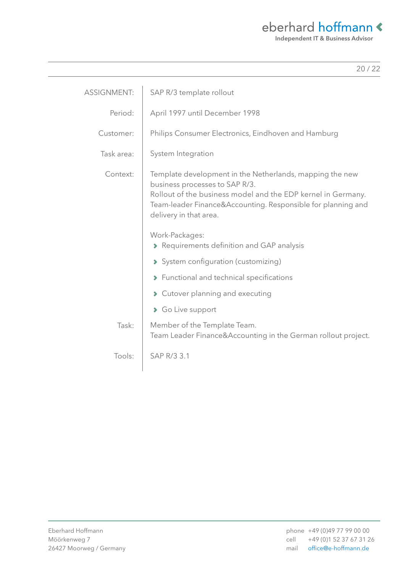| ۰. |  |
|----|--|
|    |  |

| <b>ASSIGNMENT:</b> | SAP R/3 template rollout                                                                                                                                                                                                                             |
|--------------------|------------------------------------------------------------------------------------------------------------------------------------------------------------------------------------------------------------------------------------------------------|
| Period:            | April 1997 until December 1998                                                                                                                                                                                                                       |
| Customer:          | Philips Consumer Electronics, Eindhoven and Hamburg                                                                                                                                                                                                  |
| Task area:         | System Integration                                                                                                                                                                                                                                   |
| Context:           | Template development in the Netherlands, mapping the new<br>business processes to SAP R/3.<br>Rollout of the business model and the EDP kernel in Germany.<br>Team-leader Finance&Accounting. Responsible for planning and<br>delivery in that area. |
|                    | Work-Packages:<br>Requirements definition and GAP analysis<br>System configuration (customizing)<br>> Functional and technical specifications<br>Cutover planning and executing                                                                      |
|                    | So Live support                                                                                                                                                                                                                                      |
| Task:              | Member of the Template Team.<br>Team Leader Finance&Accounting in the German rollout project.                                                                                                                                                        |
| Tools:             | SAP R/3 3.1                                                                                                                                                                                                                                          |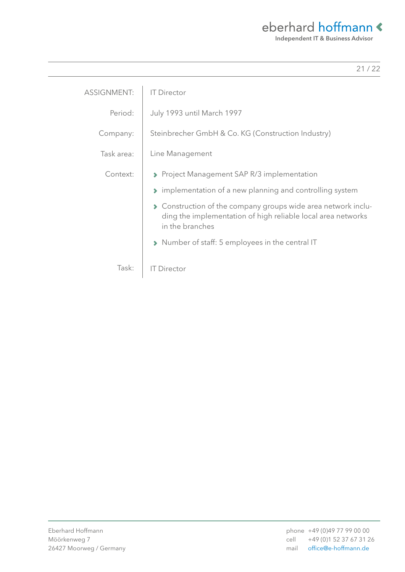| <b>ASSIGNMENT:</b> | <b>IT Director</b>                                                                                                                                                      |
|--------------------|-------------------------------------------------------------------------------------------------------------------------------------------------------------------------|
| Period:            | July 1993 until March 1997                                                                                                                                              |
| Company:           | Steinbrecher GmbH & Co. KG (Construction Industry)                                                                                                                      |
| Task area:         | Line Management                                                                                                                                                         |
| Context:           | ▶ Project Management SAP R/3 implementation                                                                                                                             |
|                    | → implementation of a new planning and controlling system                                                                                                               |
|                    | Construction of the company groups wide area network inclu-<br>$\blacktriangleright$<br>ding the implementation of high reliable local area networks<br>in the branches |
|                    | > Number of staff: 5 employees in the central IT                                                                                                                        |
| Task:              | <b>IT Director</b>                                                                                                                                                      |